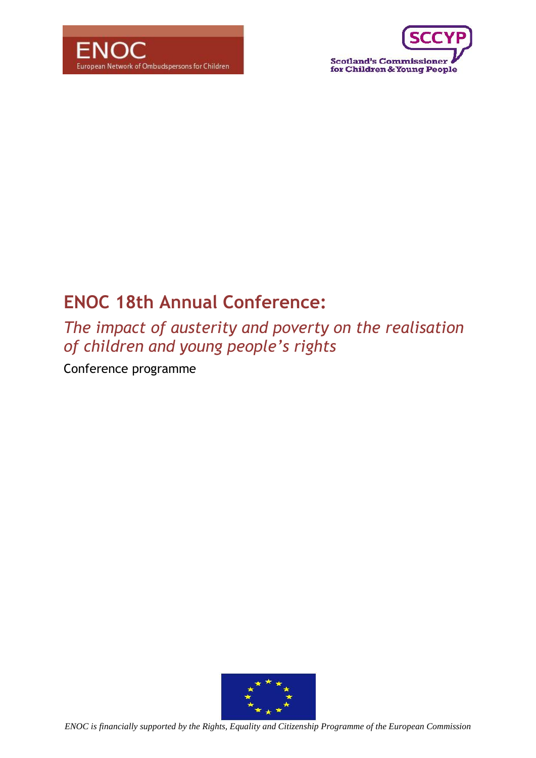



# **ENOC 18th Annual Conference:**

*The impact of austerity and poverty on the realisation of children and young people's rights*

Conference programme

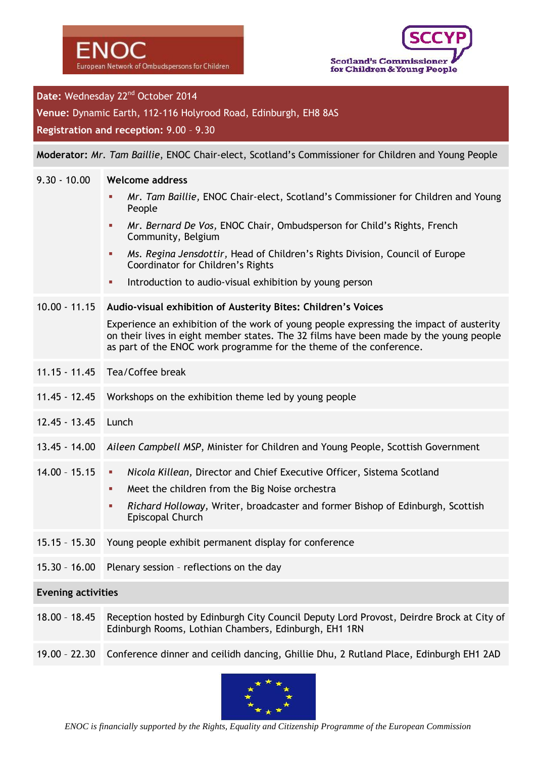

# Date: Wednesday 22<sup>nd</sup> October 2014

**Venue:** Dynamic Earth, 112-116 Holyrood Road, Edinburgh, EH8 8AS

**Registration and reception:** 9.00 – 9.30

#### **Moderator:** *Mr. Tam Baillie*, ENOC Chair-elect, Scotland's Commissioner for Children and Young People

#### 9.30 - 10.00 **Welcome address**

- *Mr. Tam Baillie,* ENOC Chair-elect, Scotland's Commissioner for Children and Young People
- *Mr. Bernard De Vos,* ENOC Chair, Ombudsperson for Child's Rights, French Community, Belgium
- *Ms. Regina Jensdottir,* Head of Children's Rights Division, Council of Europe Coordinator for Children's Rights
- Introduction to audio-visual exhibition by young person

#### 10.00 - 11.15 **Audio-visual exhibition of Austerity Bites: Children's Voices**

Experience an exhibition of the work of young people expressing the impact of austerity on their lives in eight member states. The 32 films have been made by the young people as part of the ENOC work programme for the theme of the conference.

- 11.15 11.45 Tea/Coffee break
- 11.45 12.45 Workshops on the exhibition theme led by young people
- 12.45 13.45 Lunch

#### 13.45 - 14.00 *Aileen Campbell MSP*, Minister for Children and Young People, Scottish Government

- 14.00 15.15 *Nicola Killean,* Director and Chief Executive Officer, Sistema Scotland
	- **Meet the children from the Big Noise orchestra**
	- *Richard Holloway,* Writer, broadcaster and former Bishop of Edinburgh, Scottish Episcopal Church
- 15.15 15.30 Young people exhibit permanent display for conference
- 15.30 16.00 Plenary session reflections on the day

#### **Evening activities**

- 18.00 18.45 Reception hosted by Edinburgh City Council Deputy Lord Provost, Deirdre Brock at City of Edinburgh Rooms, Lothian Chambers, Edinburgh, EH1 1RN
- 19.00 22.30 Conference dinner and ceilidh dancing, Ghillie Dhu, 2 Rutland Place, Edinburgh EH1 2AD

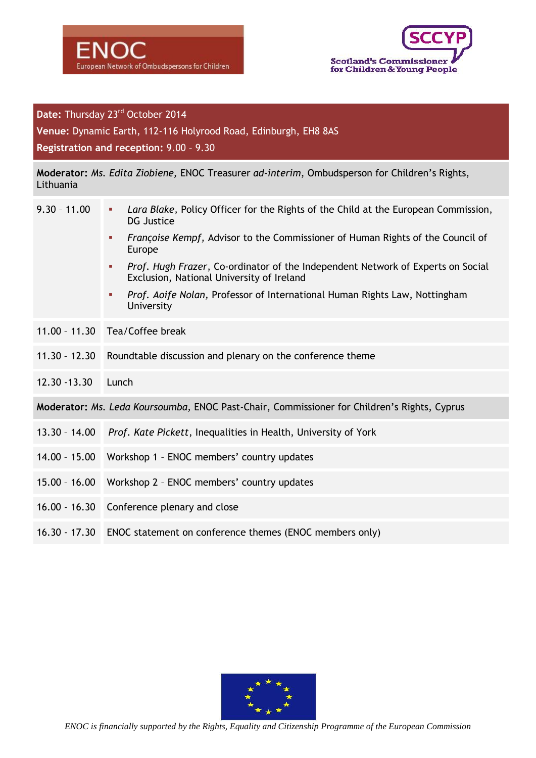



# Date: Thursday 23<sup>rd</sup> October 2014

**Venue:** Dynamic Earth, 112-116 Holyrood Road, Edinburgh, EH8 8AS

**Registration and reception:** 9.00 – 9.30

**Moderator:** *Ms. Edita Ziobiene,* ENOC Treasurer *ad-interim*, Ombudsperson for Children's Rights, Lithuania

| $9.30 - 11.00$                                                                              | Lara Blake, Policy Officer for the Rights of the Child at the European Commission,<br>n.<br><b>DG Justice</b>                              |
|---------------------------------------------------------------------------------------------|--------------------------------------------------------------------------------------------------------------------------------------------|
|                                                                                             | Françoise Kempf, Advisor to the Commissioner of Human Rights of the Council of<br>$\mathbf{r}$<br>Europe                                   |
|                                                                                             | Prof. Hugh Frazer, Co-ordinator of the Independent Network of Experts on Social<br><b>III</b><br>Exclusion, National University of Ireland |
|                                                                                             | Prof. Aoife Nolan, Professor of International Human Rights Law, Nottingham<br>×<br>University                                              |
|                                                                                             | 11.00 - 11.30 Tea/Coffee break                                                                                                             |
| $11.30 - 12.30$                                                                             | Roundtable discussion and plenary on the conference theme                                                                                  |
| 12.30 - 13.30                                                                               | Lunch                                                                                                                                      |
| Moderator: Ms. Leda Koursoumba, ENOC Past-Chair, Commissioner for Children's Rights, Cyprus |                                                                                                                                            |
|                                                                                             | 13.30 - 14.00 Prof. Kate Pickett, Inequalities in Health, University of York                                                               |
|                                                                                             | 14.00 - 15.00 Workshop 1 - ENOC members' country updates                                                                                   |
|                                                                                             | 15.00 - 16.00 Workshop 2 - ENOC members' country updates                                                                                   |
|                                                                                             | 16.00 - 16.30 Conference plenary and close                                                                                                 |
|                                                                                             | 16.30 - 17.30 ENOC statement on conference themes (ENOC members only)                                                                      |



*ENOC is financially supported by the Rights, Equality and Citizenship Programme of the European Commission*